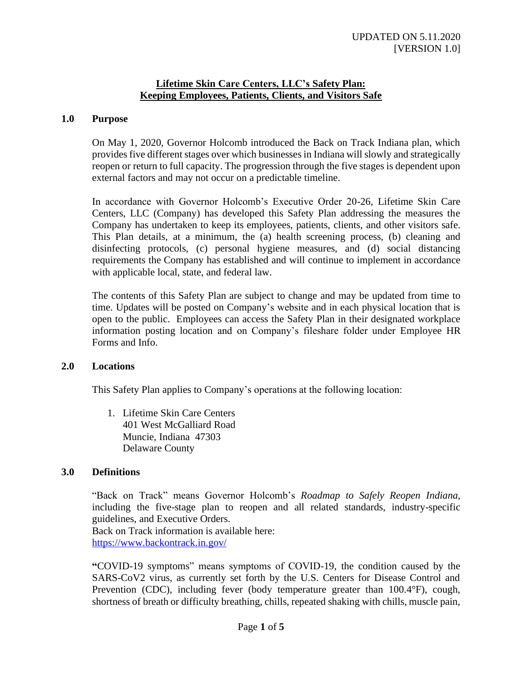## **Lifetime Skin Care Centers, LLC's Safety Plan: Keeping Employees, Patients, Clients, and Visitors Safe**

## **1.0 Purpose**

On May 1, 2020, Governor Holcomb introduced the Back on Track Indiana plan, which provides five different stages over which businesses in Indiana will slowly and strategically reopen or return to full capacity. The progression through the five stages is dependent upon external factors and may not occur on a predictable timeline.

In accordance with Governor Holcomb's Executive Order 20-26, Lifetime Skin Care Centers, LLC (Company) has developed this Safety Plan addressing the measures the Company has undertaken to keep its employees, patients, clients, and other visitors safe. This Plan details, at a minimum, the (a) health screening process, (b) cleaning and disinfecting protocols, (c) personal hygiene measures, and (d) social distancing requirements the Company has established and will continue to implement in accordance with applicable local, state, and federal law.

The contents of this Safety Plan are subject to change and may be updated from time to time. Updates will be posted on Company's website and in each physical location that is open to the public. Employees can access the Safety Plan in their designated workplace information posting location and on Company's fileshare folder under Employee HR Forms and Info.

#### **2.0 Locations**

This Safety Plan applies to Company's operations at the following location:

1. Lifetime Skin Care Centers 401 West McGalliard Road Muncie, Indiana 47303 Delaware County

#### **3.0 Definitions**

"Back on Track" means Governor Holcomb's *Roadmap to Safely Reopen Indiana*, including the five-stage plan to reopen and all related standards, industry-specific guidelines, and Executive Orders.

Back on Track information is available here: <https://www.backontrack.in.gov/>

**"**COVID-19 symptoms" means symptoms of COVID-19, the condition caused by the SARS-CoV2 virus, as currently set forth by the U.S. Centers for Disease Control and Prevention (CDC), including fever (body temperature greater than 100.4°F), cough, shortness of breath or difficulty breathing, chills, repeated shaking with chills, muscle pain,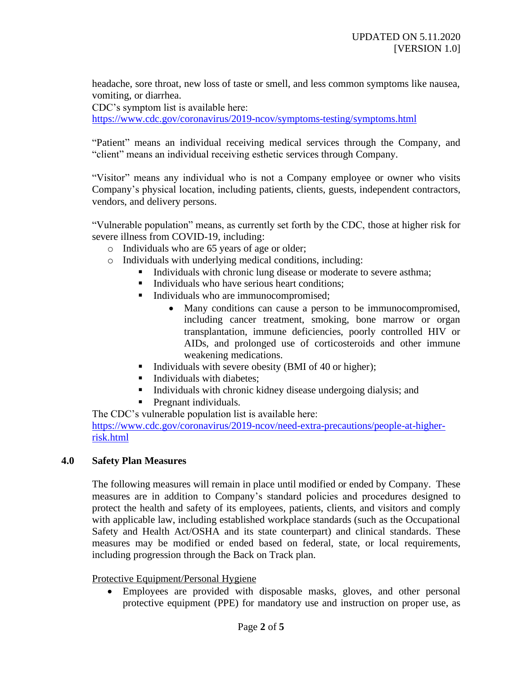headache, sore throat, new loss of taste or smell, and less common symptoms like nausea, vomiting, or diarrhea.

CDC's symptom list is available here:

<https://www.cdc.gov/coronavirus/2019-ncov/symptoms-testing/symptoms.html>

"Patient" means an individual receiving medical services through the Company, and "client" means an individual receiving esthetic services through Company.

"Visitor" means any individual who is not a Company employee or owner who visits Company's physical location, including patients, clients, guests, independent contractors, vendors, and delivery persons.

"Vulnerable population" means, as currently set forth by the CDC, those at higher risk for severe illness from COVID-19, including:

- o Individuals who are 65 years of age or older;
- o Individuals with underlying medical conditions, including:
	- Individuals with chronic lung disease or moderate to severe asthma;
	- Individuals who have serious heart conditions:
	- Individuals who are immunocompromised;
		- Many conditions can cause a person to be immunocompromised, including cancer treatment, smoking, bone marrow or organ transplantation, immune deficiencies, poorly controlled HIV or AIDs, and prolonged use of corticosteroids and other immune weakening medications.
	- Individuals with severe obesity (BMI of 40 or higher);
	- Individuals with diabetes;
	- Individuals with chronic kidney disease undergoing dialysis; and
	- **•** Pregnant individuals.

The CDC's vulnerable population list is available here: [https://www.cdc.gov/coronavirus/2019-ncov/need-extra-precautions/people-at-higher](https://www.cdc.gov/coronavirus/2019-ncov/need-extra-precautions/people-at-higher-risk.html)[risk.html](https://www.cdc.gov/coronavirus/2019-ncov/need-extra-precautions/people-at-higher-risk.html)

## **4.0 Safety Plan Measures**

The following measures will remain in place until modified or ended by Company. These measures are in addition to Company's standard policies and procedures designed to protect the health and safety of its employees, patients, clients, and visitors and comply with applicable law, including established workplace standards (such as the Occupational Safety and Health Act/OSHA and its state counterpart) and clinical standards. These measures may be modified or ended based on federal, state, or local requirements, including progression through the Back on Track plan.

#### Protective Equipment/Personal Hygiene

• Employees are provided with disposable masks, gloves, and other personal protective equipment (PPE) for mandatory use and instruction on proper use, as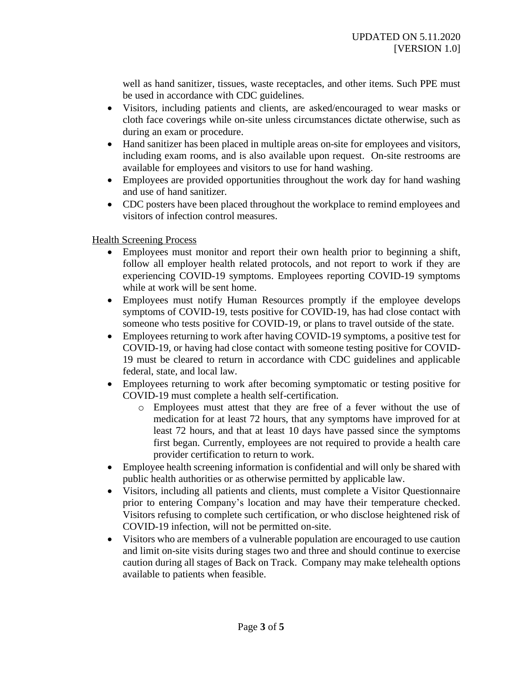well as hand sanitizer, tissues, waste receptacles, and other items. Such PPE must be used in accordance with CDC guidelines.

- Visitors, including patients and clients, are asked/encouraged to wear masks or cloth face coverings while on-site unless circumstances dictate otherwise, such as during an exam or procedure.
- Hand sanitizer has been placed in multiple areas on-site for employees and visitors, including exam rooms, and is also available upon request. On-site restrooms are available for employees and visitors to use for hand washing.
- Employees are provided opportunities throughout the work day for hand washing and use of hand sanitizer.
- CDC posters have been placed throughout the workplace to remind employees and visitors of infection control measures.

## Health Screening Process

- Employees must monitor and report their own health prior to beginning a shift, follow all employer health related protocols, and not report to work if they are experiencing COVID-19 symptoms. Employees reporting COVID-19 symptoms while at work will be sent home.
- Employees must notify Human Resources promptly if the employee develops symptoms of COVID-19, tests positive for COVID-19, has had close contact with someone who tests positive for COVID-19, or plans to travel outside of the state.
- Employees returning to work after having COVID-19 symptoms, a positive test for COVID-19, or having had close contact with someone testing positive for COVID-19 must be cleared to return in accordance with CDC guidelines and applicable federal, state, and local law.
- Employees returning to work after becoming symptomatic or testing positive for COVID-19 must complete a health self-certification.
	- o Employees must attest that they are free of a fever without the use of medication for at least 72 hours, that any symptoms have improved for at least 72 hours, and that at least 10 days have passed since the symptoms first began. Currently, employees are not required to provide a health care provider certification to return to work.
- Employee health screening information is confidential and will only be shared with public health authorities or as otherwise permitted by applicable law.
- Visitors, including all patients and clients, must complete a Visitor Questionnaire prior to entering Company's location and may have their temperature checked. Visitors refusing to complete such certification, or who disclose heightened risk of COVID-19 infection, will not be permitted on-site.
- Visitors who are members of a vulnerable population are encouraged to use caution and limit on-site visits during stages two and three and should continue to exercise caution during all stages of Back on Track. Company may make telehealth options available to patients when feasible.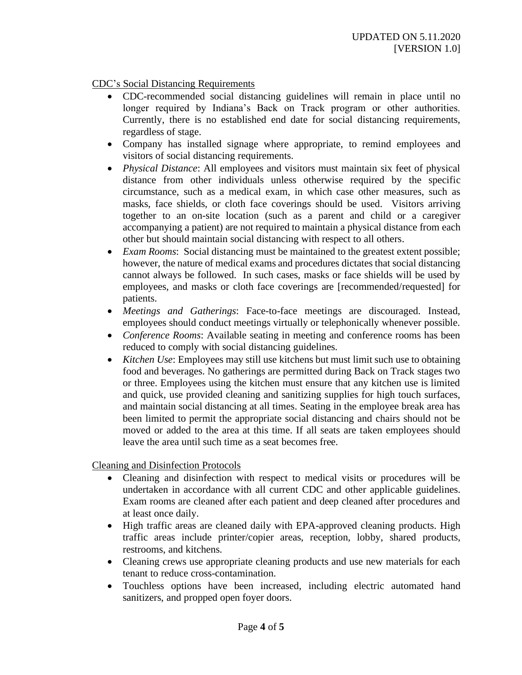CDC's Social Distancing Requirements

- CDC-recommended social distancing guidelines will remain in place until no longer required by Indiana's Back on Track program or other authorities. Currently, there is no established end date for social distancing requirements, regardless of stage.
- Company has installed signage where appropriate, to remind employees and visitors of social distancing requirements.
- *Physical Distance*: All employees and visitors must maintain six feet of physical distance from other individuals unless otherwise required by the specific circumstance, such as a medical exam, in which case other measures, such as masks, face shields, or cloth face coverings should be used. Visitors arriving together to an on-site location (such as a parent and child or a caregiver accompanying a patient) are not required to maintain a physical distance from each other but should maintain social distancing with respect to all others.
- *Exam Rooms*: Social distancing must be maintained to the greatest extent possible; however, the nature of medical exams and procedures dictates that social distancing cannot always be followed. In such cases, masks or face shields will be used by employees, and masks or cloth face coverings are [recommended/requested] for patients.
- *Meetings and Gatherings*: Face-to-face meetings are discouraged. Instead, employees should conduct meetings virtually or telephonically whenever possible.
- *Conference Rooms*: Available seating in meeting and conference rooms has been reduced to comply with social distancing guidelines.
- *Kitchen Use*: Employees may still use kitchens but must limit such use to obtaining food and beverages. No gatherings are permitted during Back on Track stages two or three. Employees using the kitchen must ensure that any kitchen use is limited and quick, use provided cleaning and sanitizing supplies for high touch surfaces, and maintain social distancing at all times. Seating in the employee break area has been limited to permit the appropriate social distancing and chairs should not be moved or added to the area at this time. If all seats are taken employees should leave the area until such time as a seat becomes free.

Cleaning and Disinfection Protocols

- Cleaning and disinfection with respect to medical visits or procedures will be undertaken in accordance with all current CDC and other applicable guidelines. Exam rooms are cleaned after each patient and deep cleaned after procedures and at least once daily.
- High traffic areas are cleaned daily with EPA-approved cleaning products. High traffic areas include printer/copier areas, reception, lobby, shared products, restrooms, and kitchens.
- Cleaning crews use appropriate cleaning products and use new materials for each tenant to reduce cross-contamination.
- Touchless options have been increased, including electric automated hand sanitizers, and propped open foyer doors.